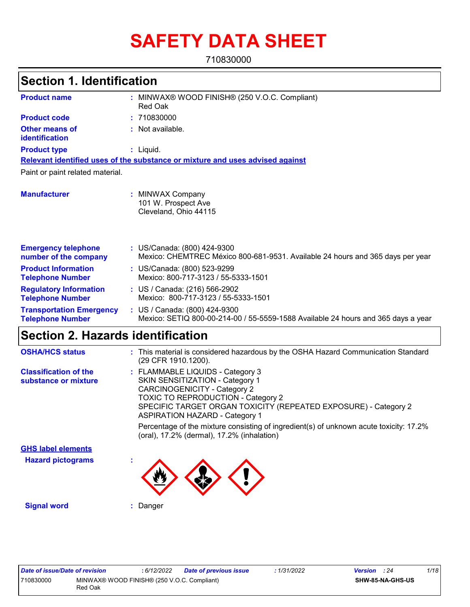# **SAFETY DATA SHEET**

710830000

| <b>Section 1. Identification</b>                           |                                                                                                                    |
|------------------------------------------------------------|--------------------------------------------------------------------------------------------------------------------|
| <b>Product name</b>                                        | : MINWAX® WOOD FINISH® (250 V.O.C. Compliant)<br>Red Oak                                                           |
| <b>Product code</b>                                        | : 710830000                                                                                                        |
| <b>Other means of</b><br>identification                    | : Not available.                                                                                                   |
| <b>Product type</b>                                        | $:$ Liquid.                                                                                                        |
|                                                            | Relevant identified uses of the substance or mixture and uses advised against                                      |
| Paint or paint related material.                           |                                                                                                                    |
| <b>Manufacturer</b>                                        | : MINWAX Company<br>101 W. Prospect Ave<br>Cleveland, Ohio 44115                                                   |
| <b>Emergency telephone</b><br>number of the company        | : US/Canada: (800) 424-9300<br>Mexico: CHEMTREC México 800-681-9531. Available 24 hours and 365 days per year      |
| <b>Product Information</b><br><b>Telephone Number</b>      | : US/Canada: (800) 523-9299<br>Mexico: 800-717-3123 / 55-5333-1501                                                 |
| <b>Regulatory Information</b><br><b>Telephone Number</b>   | : US / Canada: (216) 566-2902<br>Mexico: 800-717-3123 / 55-5333-1501                                               |
| <b>Transportation Emergency</b><br><b>Telephone Number</b> | : US / Canada: (800) 424-9300<br>Mexico: SETIQ 800-00-214-00 / 55-5559-1588 Available 24 hours and 365 days a year |
| Section 2. Hazards identification                          |                                                                                                                    |

| <b>OSHA/HCS status</b>                               | : This material is considered hazardous by the OSHA Hazard Communication Standard<br>(29 CFR 1910.1200).                                                                                                                                                                   |
|------------------------------------------------------|----------------------------------------------------------------------------------------------------------------------------------------------------------------------------------------------------------------------------------------------------------------------------|
| <b>Classification of the</b><br>substance or mixture | : FLAMMABLE LIQUIDS - Category 3<br><b>SKIN SENSITIZATION - Category 1</b><br><b>CARCINOGENICITY - Category 2</b><br><b>TOXIC TO REPRODUCTION - Category 2</b><br>SPECIFIC TARGET ORGAN TOXICITY (REPEATED EXPOSURE) - Category 2<br><b>ASPIRATION HAZARD - Category 1</b> |
|                                                      | Percentage of the mixture consisting of ingredient(s) of unknown acute toxicity: 17.2%<br>(oral), 17.2% (dermal), 17.2% (inhalation)                                                                                                                                       |
| <b>GHS label elements</b>                            |                                                                                                                                                                                                                                                                            |
| <b>Hazard pictograms</b>                             |                                                                                                                                                                                                                                                                            |
| <b>Signal word</b>                                   | Danger                                                                                                                                                                                                                                                                     |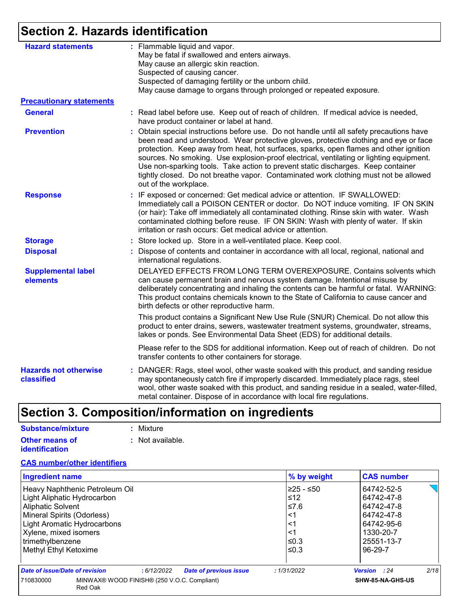# **Section 2. Hazards identification**

| <b>Hazard statements</b>                   | : Flammable liquid and vapor.<br>May be fatal if swallowed and enters airways.                                                                                                                                                                                                                                                                                                                                                                                                                                                                                                  |
|--------------------------------------------|---------------------------------------------------------------------------------------------------------------------------------------------------------------------------------------------------------------------------------------------------------------------------------------------------------------------------------------------------------------------------------------------------------------------------------------------------------------------------------------------------------------------------------------------------------------------------------|
|                                            | May cause an allergic skin reaction.                                                                                                                                                                                                                                                                                                                                                                                                                                                                                                                                            |
|                                            | Suspected of causing cancer.                                                                                                                                                                                                                                                                                                                                                                                                                                                                                                                                                    |
|                                            | Suspected of damaging fertility or the unborn child.                                                                                                                                                                                                                                                                                                                                                                                                                                                                                                                            |
|                                            | May cause damage to organs through prolonged or repeated exposure.                                                                                                                                                                                                                                                                                                                                                                                                                                                                                                              |
| <b>Precautionary statements</b>            |                                                                                                                                                                                                                                                                                                                                                                                                                                                                                                                                                                                 |
| <b>General</b>                             | : Read label before use. Keep out of reach of children. If medical advice is needed,<br>have product container or label at hand.                                                                                                                                                                                                                                                                                                                                                                                                                                                |
| <b>Prevention</b>                          | Obtain special instructions before use. Do not handle until all safety precautions have<br>÷.<br>been read and understood. Wear protective gloves, protective clothing and eye or face<br>protection. Keep away from heat, hot surfaces, sparks, open flames and other ignition<br>sources. No smoking. Use explosion-proof electrical, ventilating or lighting equipment.<br>Use non-sparking tools. Take action to prevent static discharges. Keep container<br>tightly closed. Do not breathe vapor. Contaminated work clothing must not be allowed<br>out of the workplace. |
| <b>Response</b>                            | : IF exposed or concerned: Get medical advice or attention. IF SWALLOWED:<br>Immediately call a POISON CENTER or doctor. Do NOT induce vomiting. IF ON SKIN<br>(or hair): Take off immediately all contaminated clothing. Rinse skin with water. Wash<br>contaminated clothing before reuse. IF ON SKIN: Wash with plenty of water. If skin<br>irritation or rash occurs: Get medical advice or attention.                                                                                                                                                                      |
| <b>Storage</b>                             | : Store locked up. Store in a well-ventilated place. Keep cool.                                                                                                                                                                                                                                                                                                                                                                                                                                                                                                                 |
| <b>Disposal</b>                            | : Dispose of contents and container in accordance with all local, regional, national and<br>international regulations.                                                                                                                                                                                                                                                                                                                                                                                                                                                          |
| <b>Supplemental label</b><br>elements      | DELAYED EFFECTS FROM LONG TERM OVEREXPOSURE. Contains solvents which<br>can cause permanent brain and nervous system damage. Intentional misuse by<br>deliberately concentrating and inhaling the contents can be harmful or fatal. WARNING:<br>This product contains chemicals known to the State of California to cause cancer and<br>birth defects or other reproductive harm.                                                                                                                                                                                               |
|                                            | This product contains a Significant New Use Rule (SNUR) Chemical. Do not allow this<br>product to enter drains, sewers, wastewater treatment systems, groundwater, streams,<br>lakes or ponds. See Environmental Data Sheet (EDS) for additional details.                                                                                                                                                                                                                                                                                                                       |
|                                            | Please refer to the SDS for additional information. Keep out of reach of children. Do not<br>transfer contents to other containers for storage.                                                                                                                                                                                                                                                                                                                                                                                                                                 |
| <b>Hazards not otherwise</b><br>classified | : DANGER: Rags, steel wool, other waste soaked with this product, and sanding residue<br>may spontaneously catch fire if improperly discarded. Immediately place rags, steel<br>wool, other waste soaked with this product, and sanding residue in a sealed, water-filled,<br>metal container. Dispose of in accordance with local fire regulations.                                                                                                                                                                                                                            |

# **Section 3. Composition/information on ingredients**

| Substance/mixture                       | : Mixture                   |
|-----------------------------------------|-----------------------------|
| Other means of<br><i>identification</i> | $\therefore$ Not available. |

#### **CAS number/other identifiers**

| <b>Ingredient name</b>                                              |                                             | % by weight | <b>CAS number</b>           |  |  |
|---------------------------------------------------------------------|---------------------------------------------|-------------|-----------------------------|--|--|
| Heavy Naphthenic Petroleum Oil                                      |                                             | l≥25 - ≤50  | 64742-52-5                  |  |  |
| Light Aliphatic Hydrocarbon                                         |                                             | $\leq 12$   | 64742-47-8                  |  |  |
| <b>Aliphatic Solvent</b>                                            |                                             | 1≤7.6       | 64742-47-8                  |  |  |
| Mineral Spirits (Odorless)                                          |                                             | ∣<1         | 64742-47-8                  |  |  |
| Light Aromatic Hydrocarbons                                         |                                             | ∣<1         | 64742-95-6                  |  |  |
| Xylene, mixed isomers                                               |                                             | ∣<1         | 1330-20-7                   |  |  |
| trimethylbenzene                                                    |                                             | $\leq$ 0.3  | 25551-13-7                  |  |  |
| Methyl Ethyl Ketoxime                                               |                                             | l≤0.3       | 96-29-7                     |  |  |
| Date of issue/Date of revision                                      | <b>Date of previous issue</b><br>:6/12/2022 | : 1/31/2022 | 2/18<br><b>Version</b> : 24 |  |  |
| MINWAX® WOOD FINISH® (250 V.O.C. Compliant)<br>710830000<br>Red Oak |                                             |             | SHW-85-NA-GHS-US            |  |  |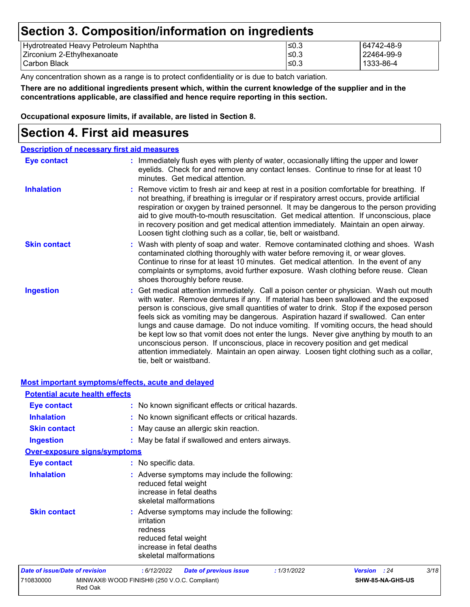### **Section 3. Composition/information on ingredients**

| Hydrotreated Heavy Petroleum Naphtha | ∣≤0.3 | 64742-48-9 |
|--------------------------------------|-------|------------|
| Zirconium 2-Ethylhexanoate           | 50.3  | 22464-99-9 |
| I Carbon Black                       | ∣≤0.3 | 1333-86-4  |

Any concentration shown as a range is to protect confidentiality or is due to batch variation.

**There are no additional ingredients present which, within the current knowledge of the supplier and in the concentrations applicable, are classified and hence require reporting in this section.**

**Occupational exposure limits, if available, are listed in Section 8.**

### **Section 4. First aid measures**

| <b>Description of necessary first aid measures</b> |                                                                                                                                                                                                                                                                                                                                                                                                                                                                                                                                                                                                                                                                                                                                                         |
|----------------------------------------------------|---------------------------------------------------------------------------------------------------------------------------------------------------------------------------------------------------------------------------------------------------------------------------------------------------------------------------------------------------------------------------------------------------------------------------------------------------------------------------------------------------------------------------------------------------------------------------------------------------------------------------------------------------------------------------------------------------------------------------------------------------------|
| <b>Eye contact</b>                                 | : Immediately flush eyes with plenty of water, occasionally lifting the upper and lower<br>eyelids. Check for and remove any contact lenses. Continue to rinse for at least 10<br>minutes. Get medical attention.                                                                                                                                                                                                                                                                                                                                                                                                                                                                                                                                       |
| <b>Inhalation</b>                                  | : Remove victim to fresh air and keep at rest in a position comfortable for breathing. If<br>not breathing, if breathing is irregular or if respiratory arrest occurs, provide artificial<br>respiration or oxygen by trained personnel. It may be dangerous to the person providing<br>aid to give mouth-to-mouth resuscitation. Get medical attention. If unconscious, place<br>in recovery position and get medical attention immediately. Maintain an open airway.<br>Loosen tight clothing such as a collar, tie, belt or waistband.                                                                                                                                                                                                               |
| <b>Skin contact</b>                                | : Wash with plenty of soap and water. Remove contaminated clothing and shoes. Wash<br>contaminated clothing thoroughly with water before removing it, or wear gloves.<br>Continue to rinse for at least 10 minutes. Get medical attention. In the event of any<br>complaints or symptoms, avoid further exposure. Wash clothing before reuse. Clean<br>shoes thoroughly before reuse.                                                                                                                                                                                                                                                                                                                                                                   |
| <b>Ingestion</b>                                   | : Get medical attention immediately. Call a poison center or physician. Wash out mouth<br>with water. Remove dentures if any. If material has been swallowed and the exposed<br>person is conscious, give small quantities of water to drink. Stop if the exposed person<br>feels sick as vomiting may be dangerous. Aspiration hazard if swallowed. Can enter<br>lungs and cause damage. Do not induce vomiting. If vomiting occurs, the head should<br>be kept low so that vomit does not enter the lungs. Never give anything by mouth to an<br>unconscious person. If unconscious, place in recovery position and get medical<br>attention immediately. Maintain an open airway. Loosen tight clothing such as a collar,<br>tie, belt or waistband. |

|                                       | <b>Most important symptoms/effects, acute and delayed</b>                                                                                            |                     |      |
|---------------------------------------|------------------------------------------------------------------------------------------------------------------------------------------------------|---------------------|------|
| <b>Potential acute health effects</b> |                                                                                                                                                      |                     |      |
| <b>Eye contact</b>                    | : No known significant effects or critical hazards.                                                                                                  |                     |      |
| <b>Inhalation</b>                     | : No known significant effects or critical hazards.                                                                                                  |                     |      |
| <b>Skin contact</b>                   | : May cause an allergic skin reaction.                                                                                                               |                     |      |
| <b>Ingestion</b>                      | : May be fatal if swallowed and enters airways.                                                                                                      |                     |      |
| <b>Over-exposure signs/symptoms</b>   |                                                                                                                                                      |                     |      |
| Eye contact                           | : No specific data.                                                                                                                                  |                     |      |
| <b>Inhalation</b>                     | : Adverse symptoms may include the following:<br>reduced fetal weight<br>increase in fetal deaths<br>skeletal malformations                          |                     |      |
| <b>Skin contact</b>                   | : Adverse symptoms may include the following:<br>irritation<br>redness<br>reduced fetal weight<br>increase in fetal deaths<br>skeletal malformations |                     |      |
| <b>Date of issue/Date of revision</b> | : 1/31/2022<br>:6/12/2022<br><b>Date of previous issue</b>                                                                                           | <b>Version</b> : 24 | 3/18 |
| 710830000<br>Red Oak                  | MINWAX® WOOD FINISH® (250 V.O.C. Compliant)                                                                                                          | SHW-85-NA-GHS-US    |      |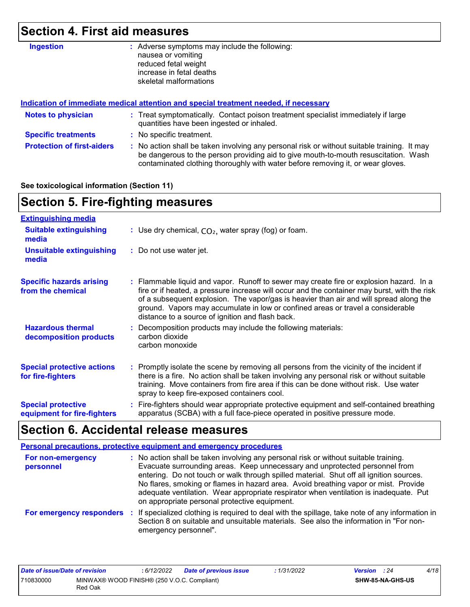# **Section 4. First aid measures**

| <b>Ingestion</b>                  | Adverse symptoms may include the following:<br>÷.<br>nausea or vomiting<br>reduced fetal weight<br>increase in fetal deaths<br>skeletal malformations                                                                                                                 |
|-----------------------------------|-----------------------------------------------------------------------------------------------------------------------------------------------------------------------------------------------------------------------------------------------------------------------|
|                                   | Indication of immediate medical attention and special treatment needed, if necessary                                                                                                                                                                                  |
| <b>Notes to physician</b>         | : Treat symptomatically. Contact poison treatment specialist immediately if large<br>quantities have been ingested or inhaled.                                                                                                                                        |
| <b>Specific treatments</b>        | : No specific treatment.                                                                                                                                                                                                                                              |
| <b>Protection of first-aiders</b> | : No action shall be taken involving any personal risk or without suitable training. It may<br>be dangerous to the person providing aid to give mouth-to-mouth resuscitation. Wash<br>contaminated clothing thoroughly with water before removing it, or wear gloves. |

#### **See toxicological information (Section 11)**

# **Section 5. Fire-fighting measures**

| <b>Extinguishing media</b>                               |                                                                                                                                                                                                                                                                                                                                                                                                                          |
|----------------------------------------------------------|--------------------------------------------------------------------------------------------------------------------------------------------------------------------------------------------------------------------------------------------------------------------------------------------------------------------------------------------------------------------------------------------------------------------------|
| <b>Suitable extinguishing</b><br>media                   | : Use dry chemical, $CO2$ , water spray (fog) or foam.                                                                                                                                                                                                                                                                                                                                                                   |
| <b>Unsuitable extinguishing</b><br>media                 | : Do not use water jet.                                                                                                                                                                                                                                                                                                                                                                                                  |
| <b>Specific hazards arising</b><br>from the chemical     | : Flammable liquid and vapor. Runoff to sewer may create fire or explosion hazard. In a<br>fire or if heated, a pressure increase will occur and the container may burst, with the risk<br>of a subsequent explosion. The vapor/gas is heavier than air and will spread along the<br>ground. Vapors may accumulate in low or confined areas or travel a considerable<br>distance to a source of ignition and flash back. |
| <b>Hazardous thermal</b><br>decomposition products       | Decomposition products may include the following materials:<br>carbon dioxide<br>carbon monoxide                                                                                                                                                                                                                                                                                                                         |
| <b>Special protective actions</b><br>for fire-fighters   | : Promptly isolate the scene by removing all persons from the vicinity of the incident if<br>there is a fire. No action shall be taken involving any personal risk or without suitable<br>training. Move containers from fire area if this can be done without risk. Use water<br>spray to keep fire-exposed containers cool.                                                                                            |
| <b>Special protective</b><br>equipment for fire-fighters | : Fire-fighters should wear appropriate protective equipment and self-contained breathing<br>apparatus (SCBA) with a full face-piece operated in positive pressure mode.                                                                                                                                                                                                                                                 |

# **Section 6. Accidental release measures**

|                                | <b>Personal precautions, protective equipment and emergency procedures</b>                                                                                                                                                                                                                                                                                                                                                                                                                      |
|--------------------------------|-------------------------------------------------------------------------------------------------------------------------------------------------------------------------------------------------------------------------------------------------------------------------------------------------------------------------------------------------------------------------------------------------------------------------------------------------------------------------------------------------|
| For non-emergency<br>personnel | : No action shall be taken involving any personal risk or without suitable training.<br>Evacuate surrounding areas. Keep unnecessary and unprotected personnel from<br>entering. Do not touch or walk through spilled material. Shut off all ignition sources.<br>No flares, smoking or flames in hazard area. Avoid breathing vapor or mist. Provide<br>adequate ventilation. Wear appropriate respirator when ventilation is inadequate. Put<br>on appropriate personal protective equipment. |
|                                | For emergency responders : If specialized clothing is required to deal with the spillage, take note of any information in<br>Section 8 on suitable and unsuitable materials. See also the information in "For non-<br>emergency personnel".                                                                                                                                                                                                                                                     |

| Date of issue/Date of revision |                                                        | 6/12/2022 | <b>Date of previous issue</b> | : 1/31/2022 | <b>Version</b> : 24 |                         | 4/18 |
|--------------------------------|--------------------------------------------------------|-----------|-------------------------------|-------------|---------------------|-------------------------|------|
| 710830000                      | MINWAX® WOOD FINISH® (250 V.O.C. Compliant)<br>Red Oak |           |                               |             |                     | <b>SHW-85-NA-GHS-US</b> |      |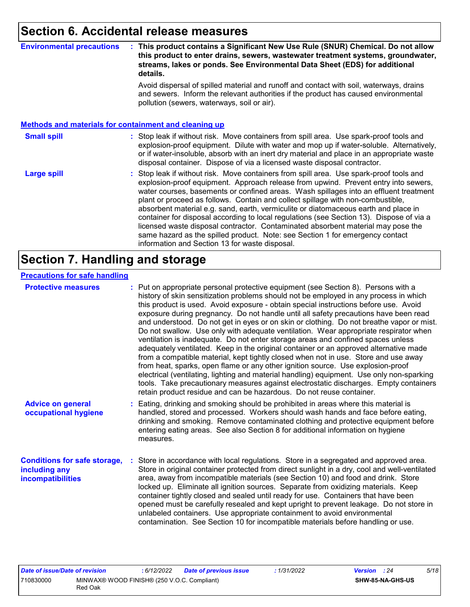### **Section 6. Accidental release measures**

#### **Environmental precautions : This product contains a Significant New Use Rule (SNUR) Chemical. Do not allow this product to enter drains, sewers, wastewater treatment systems, groundwater, streams, lakes or ponds. See Environmental Data Sheet (EDS) for additional details.**

Avoid dispersal of spilled material and runoff and contact with soil, waterways, drains and sewers. Inform the relevant authorities if the product has caused environmental pollution (sewers, waterways, soil or air).

#### **Methods and materials for containment and cleaning up**

#### : Stop leak if without risk. Move containers from spill area. Use spark-proof tools and explosion-proof equipment. Dilute with water and mop up if water-soluble. Alternatively, or if water-insoluble, absorb with an inert dry material and place in an appropriate waste disposal container. Dispose of via a licensed waste disposal contractor. **Small spill :**

Stop leak if without risk. Move containers from spill area. Use spark-proof tools and explosion-proof equipment. Approach release from upwind. Prevent entry into sewers, water courses, basements or confined areas. Wash spillages into an effluent treatment plant or proceed as follows. Contain and collect spillage with non-combustible, absorbent material e.g. sand, earth, vermiculite or diatomaceous earth and place in container for disposal according to local regulations (see Section 13). Dispose of via a licensed waste disposal contractor. Contaminated absorbent material may pose the same hazard as the spilled product. Note: see Section 1 for emergency contact information and Section 13 for waste disposal. **Large spill :**

### **Section 7. Handling and storage**

#### **Precautions for safe handling**

| <b>Protective measures</b>                                                | : Put on appropriate personal protective equipment (see Section 8). Persons with a<br>history of skin sensitization problems should not be employed in any process in which<br>this product is used. Avoid exposure - obtain special instructions before use. Avoid<br>exposure during pregnancy. Do not handle until all safety precautions have been read<br>and understood. Do not get in eyes or on skin or clothing. Do not breathe vapor or mist.<br>Do not swallow. Use only with adequate ventilation. Wear appropriate respirator when<br>ventilation is inadequate. Do not enter storage areas and confined spaces unless<br>adequately ventilated. Keep in the original container or an approved alternative made<br>from a compatible material, kept tightly closed when not in use. Store and use away<br>from heat, sparks, open flame or any other ignition source. Use explosion-proof<br>electrical (ventilating, lighting and material handling) equipment. Use only non-sparking<br>tools. Take precautionary measures against electrostatic discharges. Empty containers<br>retain product residue and can be hazardous. Do not reuse container. |
|---------------------------------------------------------------------------|----------------------------------------------------------------------------------------------------------------------------------------------------------------------------------------------------------------------------------------------------------------------------------------------------------------------------------------------------------------------------------------------------------------------------------------------------------------------------------------------------------------------------------------------------------------------------------------------------------------------------------------------------------------------------------------------------------------------------------------------------------------------------------------------------------------------------------------------------------------------------------------------------------------------------------------------------------------------------------------------------------------------------------------------------------------------------------------------------------------------------------------------------------------------|
| <b>Advice on general</b><br>occupational hygiene                          | : Eating, drinking and smoking should be prohibited in areas where this material is<br>handled, stored and processed. Workers should wash hands and face before eating,<br>drinking and smoking. Remove contaminated clothing and protective equipment before<br>entering eating areas. See also Section 8 for additional information on hygiene<br>measures.                                                                                                                                                                                                                                                                                                                                                                                                                                                                                                                                                                                                                                                                                                                                                                                                        |
| <b>Conditions for safe storage,</b><br>including any<br>incompatibilities | Store in accordance with local regulations. Store in a segregated and approved area.<br>Store in original container protected from direct sunlight in a dry, cool and well-ventilated<br>area, away from incompatible materials (see Section 10) and food and drink. Store<br>locked up. Eliminate all ignition sources. Separate from oxidizing materials. Keep<br>container tightly closed and sealed until ready for use. Containers that have been<br>opened must be carefully resealed and kept upright to prevent leakage. Do not store in<br>unlabeled containers. Use appropriate containment to avoid environmental<br>contamination. See Section 10 for incompatible materials before handling or use.                                                                                                                                                                                                                                                                                                                                                                                                                                                     |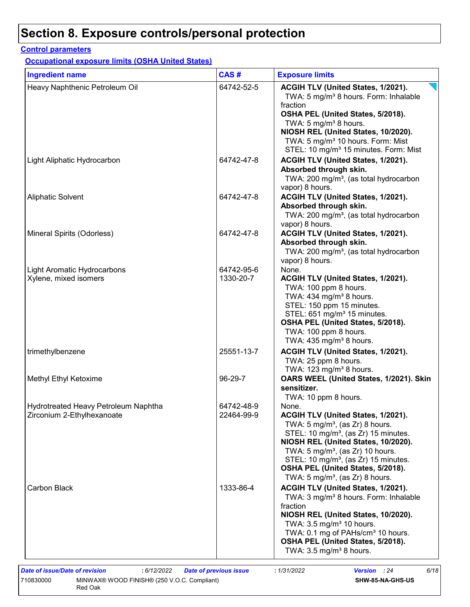#### **Control parameters**

**Occupational exposure limits (OSHA United States)**

| <b>Ingredient name</b>                                             | CAS#                     | <b>Exposure limits</b>                                                                                                                                                                                                                                                                                                                                                      |
|--------------------------------------------------------------------|--------------------------|-----------------------------------------------------------------------------------------------------------------------------------------------------------------------------------------------------------------------------------------------------------------------------------------------------------------------------------------------------------------------------|
| Heavy Naphthenic Petroleum Oil                                     | 64742-52-5               | ACGIH TLV (United States, 1/2021).<br>TWA: 5 mg/m <sup>3</sup> 8 hours. Form: Inhalable<br>fraction<br>OSHA PEL (United States, 5/2018).<br>TWA: 5 mg/m <sup>3</sup> 8 hours.                                                                                                                                                                                               |
|                                                                    |                          | NIOSH REL (United States, 10/2020).<br>TWA: 5 mg/m <sup>3</sup> 10 hours. Form: Mist<br>STEL: 10 mg/m <sup>3</sup> 15 minutes. Form: Mist                                                                                                                                                                                                                                   |
| Light Aliphatic Hydrocarbon                                        | 64742-47-8               | ACGIH TLV (United States, 1/2021).<br>Absorbed through skin.<br>TWA: 200 mg/m <sup>3</sup> , (as total hydrocarbon<br>vapor) 8 hours.                                                                                                                                                                                                                                       |
| <b>Aliphatic Solvent</b>                                           | 64742-47-8               | ACGIH TLV (United States, 1/2021).<br>Absorbed through skin.<br>TWA: 200 mg/m <sup>3</sup> , (as total hydrocarbon                                                                                                                                                                                                                                                          |
| Mineral Spirits (Odorless)                                         | 64742-47-8               | vapor) 8 hours.<br>ACGIH TLV (United States, 1/2021).<br>Absorbed through skin.<br>TWA: 200 mg/m <sup>3</sup> , (as total hydrocarbon                                                                                                                                                                                                                                       |
| Light Aromatic Hydrocarbons<br>Xylene, mixed isomers               | 64742-95-6<br>1330-20-7  | vapor) 8 hours.<br>None.<br>ACGIH TLV (United States, 1/2021).<br>TWA: 100 ppm 8 hours.<br>TWA: 434 mg/m <sup>3</sup> 8 hours.<br>STEL: 150 ppm 15 minutes.<br>STEL: 651 mg/m <sup>3</sup> 15 minutes.<br>OSHA PEL (United States, 5/2018).<br>TWA: 100 ppm 8 hours.<br>TWA: $435 \text{ mg/m}^3$ 8 hours.                                                                  |
| trimethylbenzene                                                   | 25551-13-7               | ACGIH TLV (United States, 1/2021).<br>TWA: 25 ppm 8 hours.<br>TWA: 123 mg/m <sup>3</sup> 8 hours.                                                                                                                                                                                                                                                                           |
| Methyl Ethyl Ketoxime                                              | 96-29-7                  | OARS WEEL (United States, 1/2021). Skin<br>sensitizer.<br>TWA: 10 ppm 8 hours.                                                                                                                                                                                                                                                                                              |
| Hydrotreated Heavy Petroleum Naphtha<br>Zirconium 2-Ethylhexanoate | 64742-48-9<br>22464-99-9 | None.<br>ACGIH TLV (United States, 1/2021).<br>TWA: 5 mg/m <sup>3</sup> , (as Zr) 8 hours.<br>STEL: 10 mg/m <sup>3</sup> , (as Zr) 15 minutes.<br>NIOSH REL (United States, 10/2020).<br>TWA: $5 \text{ mg/m}^3$ , (as Zr) 10 hours.<br>STEL: 10 mg/m <sup>3</sup> , (as Zr) 15 minutes.<br>OSHA PEL (United States, 5/2018).<br>TWA: $5 \text{ mg/m}^3$ , (as Zr) 8 hours. |
| <b>Carbon Black</b>                                                | 1333-86-4                | ACGIH TLV (United States, 1/2021).<br>TWA: 3 mg/m <sup>3</sup> 8 hours. Form: Inhalable<br>fraction<br>NIOSH REL (United States, 10/2020).<br>TWA: $3.5 \text{ mg/m}^3$ 10 hours.<br>TWA: 0.1 mg of PAHs/cm <sup>3</sup> 10 hours.<br>OSHA PEL (United States, 5/2018).<br>TWA: $3.5 \text{ mg/m}^3$ 8 hours.                                                               |

710830000 MINWAX® WOOD FINISH® (250 V.O.C. Compliant) Red Oak

**SHW-85-NA-GHS-US**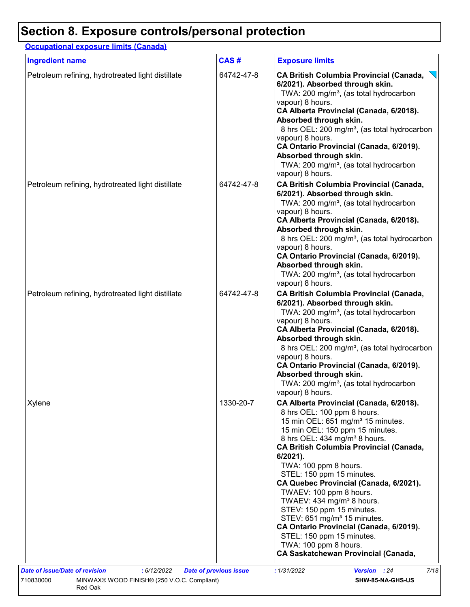### **Occupational exposure limits (Canada)**

| <b>Ingredient name</b>                            | CAS#       | <b>Exposure limits</b>                                                                                                                                                                                                                                                                                                                                                                                                                                                                                                                                                                                                                                           |
|---------------------------------------------------|------------|------------------------------------------------------------------------------------------------------------------------------------------------------------------------------------------------------------------------------------------------------------------------------------------------------------------------------------------------------------------------------------------------------------------------------------------------------------------------------------------------------------------------------------------------------------------------------------------------------------------------------------------------------------------|
| Petroleum refining, hydrotreated light distillate | 64742-47-8 | <b>CA British Columbia Provincial (Canada,</b><br>6/2021). Absorbed through skin.<br>TWA: 200 mg/m <sup>3</sup> , (as total hydrocarbon<br>vapour) 8 hours.<br>CA Alberta Provincial (Canada, 6/2018).<br>Absorbed through skin.<br>8 hrs OEL: 200 mg/m <sup>3</sup> , (as total hydrocarbon<br>vapour) 8 hours.<br>CA Ontario Provincial (Canada, 6/2019).<br>Absorbed through skin.<br>TWA: 200 mg/m <sup>3</sup> , (as total hydrocarbon<br>vapour) 8 hours.                                                                                                                                                                                                  |
| Petroleum refining, hydrotreated light distillate | 64742-47-8 | <b>CA British Columbia Provincial (Canada,</b><br>6/2021). Absorbed through skin.<br>TWA: 200 mg/m <sup>3</sup> , (as total hydrocarbon<br>vapour) 8 hours.<br>CA Alberta Provincial (Canada, 6/2018).<br>Absorbed through skin.<br>8 hrs OEL: 200 mg/m <sup>3</sup> , (as total hydrocarbon<br>vapour) 8 hours.<br>CA Ontario Provincial (Canada, 6/2019).<br>Absorbed through skin.<br>TWA: 200 mg/m <sup>3</sup> , (as total hydrocarbon<br>vapour) 8 hours.                                                                                                                                                                                                  |
| Petroleum refining, hydrotreated light distillate | 64742-47-8 | <b>CA British Columbia Provincial (Canada,</b><br>6/2021). Absorbed through skin.<br>TWA: 200 mg/m <sup>3</sup> , (as total hydrocarbon<br>vapour) 8 hours.<br>CA Alberta Provincial (Canada, 6/2018).<br>Absorbed through skin.<br>8 hrs OEL: 200 mg/m <sup>3</sup> , (as total hydrocarbon<br>vapour) 8 hours.<br>CA Ontario Provincial (Canada, 6/2019).<br>Absorbed through skin.<br>TWA: 200 mg/m <sup>3</sup> , (as total hydrocarbon<br>vapour) 8 hours.                                                                                                                                                                                                  |
| Xylene                                            | 1330-20-7  | CA Alberta Provincial (Canada, 6/2018).<br>8 hrs OEL: 100 ppm 8 hours.<br>15 min OEL: 651 mg/m <sup>3</sup> 15 minutes.<br>15 min OEL: 150 ppm 15 minutes.<br>8 hrs OEL: 434 mg/m <sup>3</sup> 8 hours.<br><b>CA British Columbia Provincial (Canada,</b><br>6/2021).<br>TWA: 100 ppm 8 hours.<br>STEL: 150 ppm 15 minutes.<br>CA Quebec Provincial (Canada, 6/2021).<br>TWAEV: 100 ppm 8 hours.<br>TWAEV: 434 mg/m <sup>3</sup> 8 hours.<br>STEV: 150 ppm 15 minutes.<br>STEV: 651 mg/m <sup>3</sup> 15 minutes.<br>CA Ontario Provincial (Canada, 6/2019).<br>STEL: 150 ppm 15 minutes.<br>TWA: 100 ppm 8 hours.<br><b>CA Saskatchewan Provincial (Canada,</b> |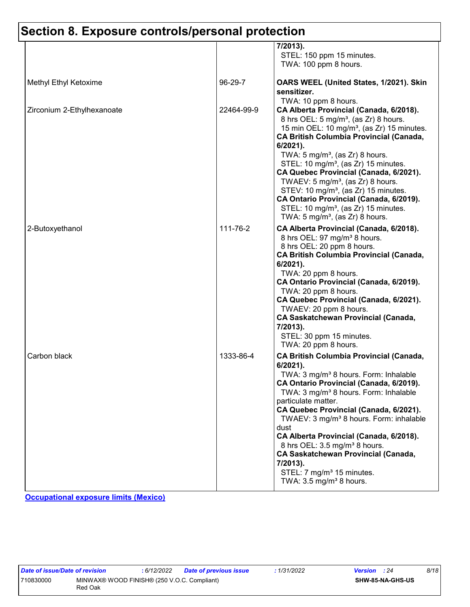|                            |            | 7/2013).<br>STEL: 150 ppm 15 minutes.<br>TWA: 100 ppm 8 hours.                                                                                                                                                                                                                                                                                                                                                                                                                                                                                                                                                           |
|----------------------------|------------|--------------------------------------------------------------------------------------------------------------------------------------------------------------------------------------------------------------------------------------------------------------------------------------------------------------------------------------------------------------------------------------------------------------------------------------------------------------------------------------------------------------------------------------------------------------------------------------------------------------------------|
| Methyl Ethyl Ketoxime      | 96-29-7    | OARS WEEL (United States, 1/2021). Skin<br>sensitizer.<br>TWA: 10 ppm 8 hours.                                                                                                                                                                                                                                                                                                                                                                                                                                                                                                                                           |
| Zirconium 2-Ethylhexanoate | 22464-99-9 | CA Alberta Provincial (Canada, 6/2018).<br>8 hrs OEL: 5 mg/m <sup>3</sup> , (as Zr) 8 hours.<br>15 min OEL: 10 mg/m <sup>3</sup> , (as Zr) 15 minutes.<br><b>CA British Columbia Provincial (Canada,</b><br>$6/2021$ ).<br>TWA: $5 \text{ mg/m}^3$ , (as Zr) 8 hours.<br>STEL: 10 mg/m <sup>3</sup> , (as Zr) 15 minutes.<br>CA Quebec Provincial (Canada, 6/2021).<br>TWAEV: 5 mg/m <sup>3</sup> , (as $Zr$ ) 8 hours.<br>STEV: 10 mg/m <sup>3</sup> , (as Zr) 15 minutes.<br>CA Ontario Provincial (Canada, 6/2019).<br>STEL: 10 mg/m <sup>3</sup> , (as Zr) 15 minutes.<br>TWA: $5 \text{ mg/m}^3$ , (as Zr) 8 hours. |
| 2-Butoxyethanol            | 111-76-2   | CA Alberta Provincial (Canada, 6/2018).<br>8 hrs OEL: 97 mg/m <sup>3</sup> 8 hours.<br>8 hrs OEL: 20 ppm 8 hours.<br><b>CA British Columbia Provincial (Canada,</b><br>$6/2021$ ).<br>TWA: 20 ppm 8 hours.<br>CA Ontario Provincial (Canada, 6/2019).<br>TWA: 20 ppm 8 hours.<br>CA Quebec Provincial (Canada, 6/2021).<br>TWAEV: 20 ppm 8 hours.<br><b>CA Saskatchewan Provincial (Canada,</b><br>7/2013).<br>STEL: 30 ppm 15 minutes.<br>TWA: 20 ppm 8 hours.                                                                                                                                                          |
| Carbon black               | 1333-86-4  | <b>CA British Columbia Provincial (Canada,</b><br>$6/2021$ ).<br>TWA: 3 mg/m <sup>3</sup> 8 hours. Form: Inhalable<br>CA Ontario Provincial (Canada, 6/2019).<br>TWA: 3 mg/m <sup>3</sup> 8 hours. Form: Inhalable<br>particulate matter.<br>CA Quebec Provincial (Canada, 6/2021).<br>TWAEV: 3 mg/m <sup>3</sup> 8 hours. Form: inhalable<br>dust<br>CA Alberta Provincial (Canada, 6/2018).<br>8 hrs OEL: 3.5 mg/m <sup>3</sup> 8 hours.<br><b>CA Saskatchewan Provincial (Canada,</b><br>7/2013).<br>STEL: 7 mg/m <sup>3</sup> 15 minutes.<br>TWA: $3.5 \text{ mg/m}^3$ 8 hours.                                      |

**Occupational exposure limits (Mexico)**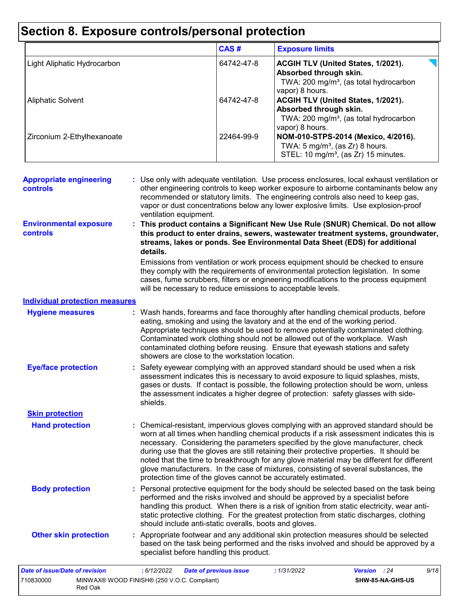|                             | CAS#       | <b>Exposure limits</b>                                                                                                                       |
|-----------------------------|------------|----------------------------------------------------------------------------------------------------------------------------------------------|
| Light Aliphatic Hydrocarbon | 64742-47-8 | <b>ACGIH TLV (United States, 1/2021).</b><br>Absorbed through skin.<br>TWA: 200 mg/m <sup>3</sup> , (as total hydrocarbon<br>vapor) 8 hours. |
| <b>Aliphatic Solvent</b>    | 64742-47-8 | ACGIH TLV (United States, 1/2021).<br>Absorbed through skin.<br>TWA: 200 mg/m <sup>3</sup> , (as total hydrocarbon<br>vapor) 8 hours.        |
| Zirconium 2-Ethylhexanoate  | 22464-99-9 | NOM-010-STPS-2014 (Mexico, 4/2016).<br>TWA: $5 \text{ mg/m}^3$ , (as Zr) 8 hours.<br>STEL: 10 mg/m <sup>3</sup> , (as Zr) 15 minutes.        |

| <b>Appropriate engineering</b><br><b>controls</b> | : Use only with adequate ventilation. Use process enclosures, local exhaust ventilation or<br>other engineering controls to keep worker exposure to airborne contaminants below any<br>recommended or statutory limits. The engineering controls also need to keep gas,<br>vapor or dust concentrations below any lower explosive limits. Use explosion-proof<br>ventilation equipment. |
|---------------------------------------------------|-----------------------------------------------------------------------------------------------------------------------------------------------------------------------------------------------------------------------------------------------------------------------------------------------------------------------------------------------------------------------------------------|
| <b>Environmental exposure</b><br><b>controls</b>  | : This product contains a Significant New Use Rule (SNUR) Chemical. Do not allow<br>this product to enter drains, sewers, wastewater treatment systems, groundwater,<br>streams, lakes or ponds. See Environmental Data Sheet (EDS) for additional<br>details.                                                                                                                          |
|                                                   | Emissions from ventilation or work process equipment should be checked to ensure<br>they comply with the requirements of environmental protection legislation. In some<br>cases, fume scrubbers, filters or engineering modifications to the process equipment<br>will be necessary to reduce emissions to acceptable levels.                                                           |
| <b>Individual protection measures</b>             |                                                                                                                                                                                                                                                                                                                                                                                         |
| <b>Hygiene measures</b>                           | : Wash hands, forearms and face thoroughly after handling chemical products, before<br>eating, smoking and using the lavatory and at the end of the working period.<br>Appropriate techniques should be used to remove potentially contaminated clothing.<br>Contaminated work clothing should not be allowed out of the workplace. Wash                                                |

| <b>Eye/face protection</b><br>: Safety eyewear complying with an approved standard should be used when a risk<br>assessment indicates this is necessary to avoid exposure to liquid splashes, mists,<br>gases or dusts. If contact is possible, the following protection should be worn, unless<br>the assessment indicates a higher degree of protection: safety glasses with side-<br>shields. |  |
|--------------------------------------------------------------------------------------------------------------------------------------------------------------------------------------------------------------------------------------------------------------------------------------------------------------------------------------------------------------------------------------------------|--|

**Skin protection**

contaminated clothing before reusing. Ensure that eyewash stations and safety

**Hand protection** Chemical-resistant, impervious gloves complying with an approved standard should be **:** worn at all times when handling chemical products if a risk assessment indicates this is necessary. Considering the parameters specified by the glove manufacturer, check during use that the gloves are still retaining their protective properties. It should be noted that the time to breakthrough for any glove material may be different for different glove manufacturers. In the case of mixtures, consisting of several substances, the protection time of the gloves cannot be accurately estimated.

**Body protection** : Personal protective equipment for the body should be selected based on the task being **Body** performed and the risks involved and should be approved by a specialist before handling this product. When there is a risk of ignition from static electricity, wear antistatic protective clothing. For the greatest protection from static discharges, clothing should include anti-static overalls, boots and gloves.

**Other skin protection :** Appropriate footwear and any additional skin protection measures should be selected based on the task being performed and the risks involved and should be approved by a specialist before handling this product.

| Date of issue/Date of revision                                      |  | : 6/12/2022 | Date of previous issue | : 1/31/2022 | <b>Version</b> : 24     |  | 9/18 |
|---------------------------------------------------------------------|--|-------------|------------------------|-------------|-------------------------|--|------|
| MINWAX® WOOD FINISH® (250 V.O.C. Compliant)<br>710830000<br>Red Oak |  |             |                        |             | <b>SHW-85-NA-GHS-US</b> |  |      |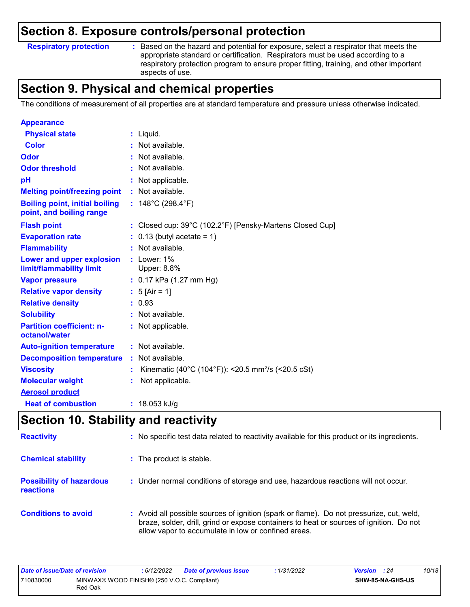#### **Respiratory protection :**

: Based on the hazard and potential for exposure, select a respirator that meets the appropriate standard or certification. Respirators must be used according to a respiratory protection program to ensure proper fitting, training, and other important aspects of use.

### **Section 9. Physical and chemical properties**

The conditions of measurement of all properties are at standard temperature and pressure unless otherwise indicated.

| <b>Appearance</b>                                                 |    |                                                                |
|-------------------------------------------------------------------|----|----------------------------------------------------------------|
| <b>Physical state</b>                                             |    | $:$ Liquid.                                                    |
| Color                                                             |    | : Not available.                                               |
| Odor                                                              |    | : Not available.                                               |
| <b>Odor threshold</b>                                             |    | : Not available.                                               |
| рH                                                                |    | Not applicable.                                                |
| <b>Melting point/freezing point</b>                               |    | : Not available.                                               |
| <b>Boiling point, initial boiling</b><br>point, and boiling range |    | : $148^{\circ}$ C (298.4 $^{\circ}$ F)                         |
| <b>Flash point</b>                                                |    | : Closed cup: 39°C (102.2°F) [Pensky-Martens Closed Cup]       |
| <b>Evaporation rate</b>                                           |    | $0.13$ (butyl acetate = 1)                                     |
| <b>Flammability</b>                                               |    | Not available.                                                 |
| Lower and upper explosion<br>limit/flammability limit             |    | $:$ Lower: $1\%$<br>Upper: 8.8%                                |
| <b>Vapor pressure</b>                                             |    | : $0.17$ kPa (1.27 mm Hg)                                      |
| <b>Relative vapor density</b>                                     |    | : $5$ [Air = 1]                                                |
| <b>Relative density</b>                                           |    | : 0.93                                                         |
| <b>Solubility</b>                                                 |    | Not available.                                                 |
| <b>Partition coefficient: n-</b><br>octanol/water                 |    | : Not applicable.                                              |
| <b>Auto-ignition temperature</b>                                  |    | : Not available.                                               |
| <b>Decomposition temperature</b>                                  | ÷. | Not available.                                                 |
| <b>Viscosity</b>                                                  |    | Kinematic (40°C (104°F)): <20.5 mm <sup>2</sup> /s (<20.5 cSt) |
| <b>Molecular weight</b>                                           |    | Not applicable.                                                |
| <b>Aerosol product</b>                                            |    |                                                                |
| <b>Heat of combustion</b>                                         |    | : $18.053$ kJ/g                                                |

# **Section 10. Stability and reactivity**

| <b>Reactivity</b>                            | : No specific test data related to reactivity available for this product or its ingredients.                                                                                                                                               |
|----------------------------------------------|--------------------------------------------------------------------------------------------------------------------------------------------------------------------------------------------------------------------------------------------|
| <b>Chemical stability</b>                    | : The product is stable.                                                                                                                                                                                                                   |
| <b>Possibility of hazardous</b><br>reactions | : Under normal conditions of storage and use, hazardous reactions will not occur.                                                                                                                                                          |
| <b>Conditions to avoid</b>                   | : Avoid all possible sources of ignition (spark or flame). Do not pressurize, cut, weld,<br>braze, solder, drill, grind or expose containers to heat or sources of ignition. Do not<br>allow vapor to accumulate in low or confined areas. |

| Date of issue/Date of revision |                                                        | 6/12/2022 | Date of previous issue | : 1/31/2022 | <b>Version</b> : 24 |                         | 10/18 |
|--------------------------------|--------------------------------------------------------|-----------|------------------------|-------------|---------------------|-------------------------|-------|
| 710830000                      | MINWAX® WOOD FINISH® (250 V.O.C. Compliant)<br>Red Oak |           |                        |             |                     | <b>SHW-85-NA-GHS-US</b> |       |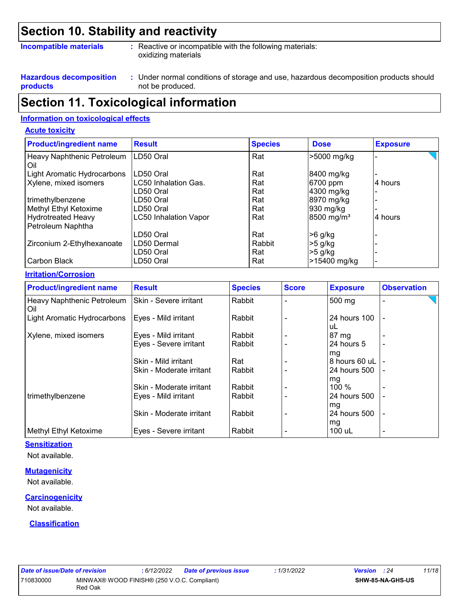### **Section 10. Stability and reactivity**

#### **Incompatible materials :**

: Reactive or incompatible with the following materials: oxidizing materials

**Hazardous decomposition products**

Under normal conditions of storage and use, hazardous decomposition products should **:** not be produced.

### **Section 11. Toxicological information**

#### **Information on toxicological effects**

#### **Acute toxicity**

| <b>Product/ingredient name</b>                 | <b>Result</b>                | <b>Species</b> | <b>Dose</b>            | <b>Exposure</b> |
|------------------------------------------------|------------------------------|----------------|------------------------|-----------------|
| Heavy Naphthenic Petroleum<br>Oil              | LD50 Oral                    | Rat            | >5000 mg/kg            |                 |
| Light Aromatic Hydrocarbons                    | LD50 Oral                    | Rat            | 8400 mg/kg             |                 |
| Xylene, mixed isomers                          | LC50 Inhalation Gas.         | Rat            | 6700 ppm               | 4 hours         |
|                                                | LD50 Oral                    | Rat            | 4300 mg/kg             |                 |
| trimethylbenzene                               | LD50 Oral                    | Rat            | 8970 mg/kg             |                 |
| Methyl Ethyl Ketoxime                          | LD50 Oral                    | Rat            | 930 mg/kg              |                 |
| <b>Hydrotreated Heavy</b><br>Petroleum Naphtha | <b>LC50 Inhalation Vapor</b> | Rat            | 8500 mg/m <sup>3</sup> | 4 hours         |
|                                                | LD50 Oral                    | Rat            | $>6$ g/kg              |                 |
| Zirconium 2-Ethylhexanoate                     | LD50 Dermal                  | Rabbit         | $>5$ g/kg              |                 |
|                                                | LD50 Oral                    | Rat            | $>5$ g/kg              |                 |
| Carbon Black                                   | LD50 Oral                    | Rat            | >15400 mg/kg           |                 |

#### **Irritation/Corrosion**

| <b>Product/ingredient name</b>    | <b>Result</b>            | <b>Species</b> | <b>Score</b> | <b>Exposure</b>    | <b>Observation</b>       |
|-----------------------------------|--------------------------|----------------|--------------|--------------------|--------------------------|
| Heavy Naphthenic Petroleum<br>Oil | ISkin - Severe irritant  | Rabbit         |              | 500 mg             |                          |
| Light Aromatic Hydrocarbons       | Eyes - Mild irritant     | Rabbit         |              | 24 hours 100<br>uL |                          |
| Xylene, mixed isomers             | Eyes - Mild irritant     | Rabbit         |              | 87 mg              |                          |
|                                   | Eyes - Severe irritant   | Rabbit         |              | 24 hours 5<br>mg   |                          |
|                                   | Skin - Mild irritant     | Rat            |              | 8 hours 60 uL      |                          |
|                                   | Skin - Moderate irritant | Rabbit         |              | 24 hours 500<br>mg |                          |
|                                   | Skin - Moderate irritant | Rabbit         |              | $100\%$            |                          |
| trimethylbenzene                  | Eyes - Mild irritant     | Rabbit         |              | 24 hours 500       |                          |
|                                   | Skin - Moderate irritant | Rabbit         |              | mg<br>24 hours 500 | $\blacksquare$           |
| Methyl Ethyl Ketoxime             | Eyes - Severe irritant   | Rabbit         |              | mg<br>100 uL       | $\overline{\phantom{0}}$ |

#### **Sensitization**

Not available.

#### **Mutagenicity**

Not available.

#### **Carcinogenicity**

Not available.

#### **Classification**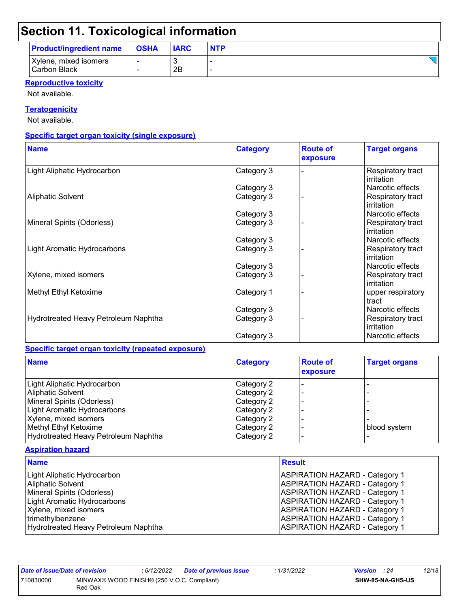# **Section 11. Toxicological information**

| <b>Product/ingredient name</b>               | <b>OSHA</b> | <b>IARC</b> | <b>NTP</b> |
|----------------------------------------------|-------------|-------------|------------|
| Xylene, mixed isomers<br><b>Carbon Black</b> |             | 2B          |            |

#### **Reproductive toxicity**

Not available.

#### **Teratogenicity**

Not available.

#### **Specific target organ toxicity (single exposure)**

| <b>Name</b>                          | <b>Category</b> | <b>Route of</b><br>exposure | <b>Target organs</b>            |
|--------------------------------------|-----------------|-----------------------------|---------------------------------|
| Light Aliphatic Hydrocarbon          | Category 3      |                             | Respiratory tract<br>irritation |
|                                      | Category 3      |                             | Narcotic effects                |
| <b>Aliphatic Solvent</b>             | Category 3      |                             | Respiratory tract<br>irritation |
|                                      | Category 3      |                             | Narcotic effects                |
| Mineral Spirits (Odorless)           | Category 3      |                             | Respiratory tract<br>irritation |
|                                      | Category 3      |                             | Narcotic effects                |
| Light Aromatic Hydrocarbons          | Category 3      |                             | Respiratory tract<br>irritation |
|                                      | Category 3      |                             | Narcotic effects                |
| Xylene, mixed isomers                | Category 3      |                             | Respiratory tract<br>irritation |
| Methyl Ethyl Ketoxime                | Category 1      |                             | upper respiratory<br>tract      |
|                                      | Category 3      |                             | Narcotic effects                |
| Hydrotreated Heavy Petroleum Naphtha | Category 3      |                             | Respiratory tract<br>irritation |
|                                      | Category 3      |                             | Narcotic effects                |

#### **Specific target organ toxicity (repeated exposure)**

| <b>Name</b>                          | <b>Category</b> | <b>Route of</b><br>exposure | <b>Target organs</b> |
|--------------------------------------|-----------------|-----------------------------|----------------------|
| Light Aliphatic Hydrocarbon          | Category 2      |                             |                      |
| <b>Aliphatic Solvent</b>             | Category 2      |                             |                      |
| Mineral Spirits (Odorless)           | Category 2      |                             |                      |
| Light Aromatic Hydrocarbons          | Category 2      |                             |                      |
| Xylene, mixed isomers                | Category 2      |                             |                      |
| Methyl Ethyl Ketoxime                | Category 2      |                             | blood system         |
| Hydrotreated Heavy Petroleum Naphtha | Category 2      |                             |                      |

#### **Aspiration hazard**

| <b>Name</b>                          | <b>Result</b>                         |
|--------------------------------------|---------------------------------------|
| Light Aliphatic Hydrocarbon          | <b>ASPIRATION HAZARD - Category 1</b> |
| <b>Aliphatic Solvent</b>             | <b>ASPIRATION HAZARD - Category 1</b> |
| Mineral Spirits (Odorless)           | <b>ASPIRATION HAZARD - Category 1</b> |
| <b>Light Aromatic Hydrocarbons</b>   | <b>ASPIRATION HAZARD - Category 1</b> |
| Xylene, mixed isomers                | <b>ASPIRATION HAZARD - Category 1</b> |
| trimethylbenzene                     | <b>ASPIRATION HAZARD - Category 1</b> |
| Hydrotreated Heavy Petroleum Naphtha | <b>ASPIRATION HAZARD - Category 1</b> |

| Date of issue/Date of revision                                      |  | : 6/12/2022 | <b>Date of previous issue</b> | : 1/31/2022             | <b>Version</b> : 24 |  | 12/18 |
|---------------------------------------------------------------------|--|-------------|-------------------------------|-------------------------|---------------------|--|-------|
| MINWAX® WOOD FINISH® (250 V.O.C. Compliant)<br>710830000<br>Red Oak |  |             |                               | <b>SHW-85-NA-GHS-US</b> |                     |  |       |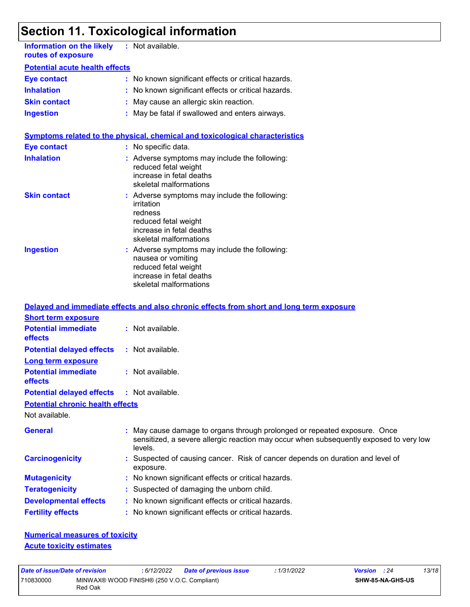# **Section 11. Toxicological information**

| <b>Information on the likely</b><br>routes of exposure | : Not available.                                                                                                                                     |
|--------------------------------------------------------|------------------------------------------------------------------------------------------------------------------------------------------------------|
| <b>Potential acute health effects</b>                  |                                                                                                                                                      |
| <b>Eye contact</b>                                     | : No known significant effects or critical hazards.                                                                                                  |
| <b>Inhalation</b>                                      | : No known significant effects or critical hazards.                                                                                                  |
| <b>Skin contact</b>                                    | : May cause an allergic skin reaction.                                                                                                               |
| <b>Ingestion</b>                                       | : May be fatal if swallowed and enters airways.                                                                                                      |
|                                                        | Symptoms related to the physical, chemical and toxicological characteristics                                                                         |
| <b>Eye contact</b>                                     | : No specific data.                                                                                                                                  |
| <b>Inhalation</b>                                      | : Adverse symptoms may include the following:<br>reduced fetal weight<br>increase in fetal deaths<br>skeletal malformations                          |
| <b>Skin contact</b>                                    | : Adverse symptoms may include the following:<br>irritation<br>redness<br>reduced fetal weight<br>increase in fetal deaths<br>skeletal malformations |
| <b>Ingestion</b>                                       | : Adverse symptoms may include the following:<br>nausea or vomiting<br>reduced fetal weight<br>increase in fetal deaths<br>skeletal malformations    |
|                                                        | Delayed and immediate effects and also chronic effects from short and long term exposure                                                             |
| <b>Short term exposure</b>                             |                                                                                                                                                      |
| <b>Potential immediate</b><br>effects                  | : Not available.                                                                                                                                     |
| <b>Potential delayed effects</b>                       | : Not available.                                                                                                                                     |
| <b>Long term exposure</b>                              |                                                                                                                                                      |
| <b>Potential immediate</b>                             | : Not available.                                                                                                                                     |

**Potential delayed effects :** Not available.

**Potential chronic health effects**

Not available.

**effects**

| <b>General</b>               | : May cause damage to organs through prolonged or repeated exposure. Once<br>sensitized, a severe allergic reaction may occur when subsequently exposed to very low<br>levels. |
|------------------------------|--------------------------------------------------------------------------------------------------------------------------------------------------------------------------------|
| <b>Carcinogenicity</b>       | : Suspected of causing cancer. Risk of cancer depends on duration and level of<br>exposure.                                                                                    |
| <b>Mutagenicity</b>          | : No known significant effects or critical hazards.                                                                                                                            |
| <b>Teratogenicity</b>        | : Suspected of damaging the unborn child.                                                                                                                                      |
| <b>Developmental effects</b> | : No known significant effects or critical hazards.                                                                                                                            |
| <b>Fertility effects</b>     | : No known significant effects or critical hazards.                                                                                                                            |

**Numerical measures of toxicity Acute toxicity estimates**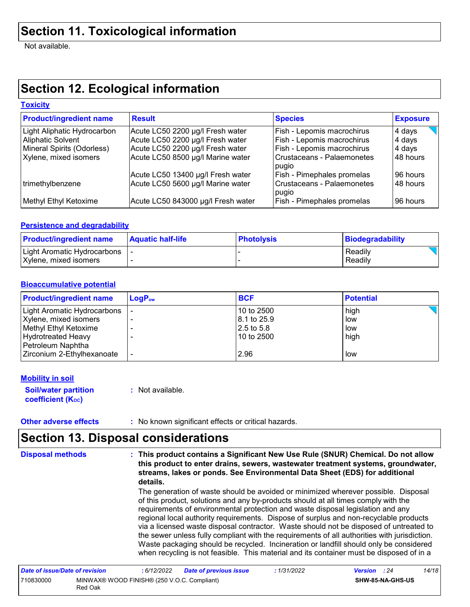Not available.

# **Section 12. Ecological information**

#### **Toxicity**

| <b>Product/ingredient name</b> | <b>Result</b>                      | <b>Species</b>                      | <b>Exposure</b> |
|--------------------------------|------------------------------------|-------------------------------------|-----------------|
| Light Aliphatic Hydrocarbon    | Acute LC50 2200 µg/l Fresh water   | Fish - Lepomis macrochirus          | 4 days          |
| Aliphatic Solvent              | Acute LC50 2200 µg/l Fresh water   | Fish - Lepomis macrochirus          | 4 days          |
| Mineral Spirits (Odorless)     | Acute LC50 2200 µg/l Fresh water   | Fish - Lepomis macrochirus          | 4 days          |
| Xylene, mixed isomers          | Acute LC50 8500 µg/l Marine water  | Crustaceans - Palaemonetes<br>pugio | 48 hours        |
|                                | Acute LC50 13400 µg/l Fresh water  | Fish - Pimephales promelas          | 96 hours        |
| trimethylbenzene               | Acute LC50 5600 µg/l Marine water  | Crustaceans - Palaemonetes<br>pugio | 48 hours        |
| Methyl Ethyl Ketoxime          | Acute LC50 843000 µg/l Fresh water | Fish - Pimephales promelas          | 96 hours        |

#### **Persistence and degradability**

| <b>Product/ingredient name</b>                         | <b>Aquatic half-life</b> | <b>Photolysis</b> | Biodegradability   |
|--------------------------------------------------------|--------------------------|-------------------|--------------------|
| Light Aromatic Hydrocarbons  <br>Xylene, mixed isomers |                          |                   | Readily<br>Readily |
|                                                        |                          |                   |                    |

#### **Bioaccumulative potential**

| <b>Product/ingredient name</b> | $\mathsf{LogP}_\mathsf{ow}$ | <b>BCF</b>   | <b>Potential</b> |
|--------------------------------|-----------------------------|--------------|------------------|
| Light Aromatic Hydrocarbons    |                             | 10 to 2500   | high             |
| Xylene, mixed isomers          |                             | 18.1 to 25.9 | low              |
| Methyl Ethyl Ketoxime          |                             | 12.5 to 5.8  | low              |
| Hydrotreated Heavy             |                             | 10 to 2500   | high             |
| Petroleum Naphtha              |                             |              |                  |
| Zirconium 2-Ethylhexanoate     |                             | 2.96         | low              |

#### **Mobility in soil**

**Soil/water partition coefficient (Koc) :** Not available.

**Other adverse effects** : No known significant effects or critical hazards.

### **Section 13. Disposal considerations**

The generation of waste should be avoided or minimized wherever possible. Disposal of this product, solutions and any by-products should at all times comply with the requirements of environmental protection and waste disposal legislation and any regional local authority requirements. Dispose of surplus and non-recyclable products via a licensed waste disposal contractor. Waste should not be disposed of untreated to the sewer unless fully compliant with the requirements of all authorities with jurisdiction. Waste packaging should be recycled. Incineration or landfill should only be considered **Disposal methods : This product contains a Significant New Use Rule (SNUR) Chemical. Do not allow this product to enter drains, sewers, wastewater treatment systems, groundwater, streams, lakes or ponds. See Environmental Data Sheet (EDS) for additional details.**

| Date of issue/Date of revision |                                                        | : 6/12/2022 | <b>Date of previous issue</b> | : 1/31/2022             | <b>Version</b> : 24 | 14/18 |
|--------------------------------|--------------------------------------------------------|-------------|-------------------------------|-------------------------|---------------------|-------|
| 710830000                      | MINWAX® WOOD FINISH® (250 V.O.C. Compliant)<br>Red Oak |             |                               | <b>SHW-85-NA-GHS-US</b> |                     |       |

when recycling is not feasible. This material and its container must be disposed of in a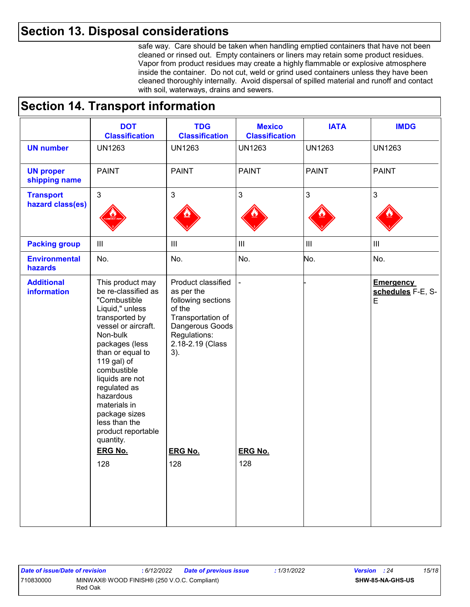### **Section 13. Disposal considerations**

safe way. Care should be taken when handling emptied containers that have not been cleaned or rinsed out. Empty containers or liners may retain some product residues. Vapor from product residues may create a highly flammable or explosive atmosphere inside the container. Do not cut, weld or grind used containers unless they have been cleaned thoroughly internally. Avoid dispersal of spilled material and runoff and contact with soil, waterways, drains and sewers.

### **Section 14. Transport information**

|                                         | <b>DOT</b><br><b>Classification</b>                                                                                                                                                                                                                                                                                                      | <b>TDG</b><br><b>Classification</b>                                                                                                                 | <b>Mexico</b><br><b>Classification</b> | <b>IATA</b>                 | <b>IMDG</b>                                |
|-----------------------------------------|------------------------------------------------------------------------------------------------------------------------------------------------------------------------------------------------------------------------------------------------------------------------------------------------------------------------------------------|-----------------------------------------------------------------------------------------------------------------------------------------------------|----------------------------------------|-----------------------------|--------------------------------------------|
| <b>UN number</b>                        | <b>UN1263</b>                                                                                                                                                                                                                                                                                                                            | <b>UN1263</b>                                                                                                                                       | <b>UN1263</b>                          | <b>UN1263</b>               | <b>UN1263</b>                              |
| <b>UN proper</b><br>shipping name       | <b>PAINT</b>                                                                                                                                                                                                                                                                                                                             | <b>PAINT</b>                                                                                                                                        | <b>PAINT</b>                           | <b>PAINT</b>                | <b>PAINT</b>                               |
| <b>Transport</b><br>hazard class(es)    | 3                                                                                                                                                                                                                                                                                                                                        | $\sqrt{3}$                                                                                                                                          | $\mathbf{3}$                           | 3                           | 3                                          |
| <b>Packing group</b>                    | $\ensuremath{\mathsf{III}}\xspace$                                                                                                                                                                                                                                                                                                       | $\  \ $                                                                                                                                             | $\mathop{\rm III}$                     | $\mathop{\rm III}\nolimits$ | $\ensuremath{\mathsf{III}}\xspace$         |
| <b>Environmental</b><br>hazards         | No.                                                                                                                                                                                                                                                                                                                                      | No.                                                                                                                                                 | No.                                    | No.                         | No.                                        |
| <b>Additional</b><br><b>information</b> | This product may<br>be re-classified as<br>"Combustible<br>Liquid," unless<br>transported by<br>vessel or aircraft.<br>Non-bulk<br>packages (less<br>than or equal to<br>119 gal) of<br>combustible<br>liquids are not<br>regulated as<br>hazardous<br>materials in<br>package sizes<br>less than the<br>product reportable<br>quantity. | Product classified<br>as per the<br>following sections<br>of the<br>Transportation of<br>Dangerous Goods<br>Regulations:<br>2.18-2.19 (Class<br>3). |                                        |                             | <b>Emergency</b><br>schedules F-E, S-<br>E |
|                                         | <b>ERG No.</b><br>128                                                                                                                                                                                                                                                                                                                    | <b>ERG No.</b><br>128                                                                                                                               | <b>ERG No.</b><br>128                  |                             |                                            |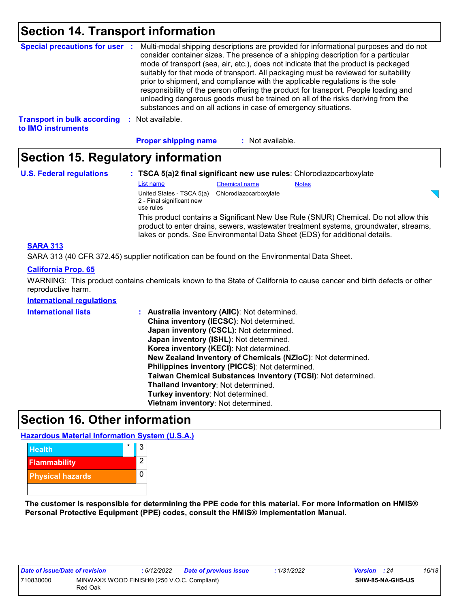### **Section 14. Transport information**

| <b>Special precautions for user :</b>                    |      | Multi-modal shipping descriptions are provided for informational purposes and do not<br>consider container sizes. The presence of a shipping description for a particular<br>mode of transport (sea, air, etc.), does not indicate that the product is packaged<br>suitably for that mode of transport. All packaging must be reviewed for suitability<br>prior to shipment, and compliance with the applicable regulations is the sole<br>responsibility of the person offering the product for transport. People loading and<br>unloading dangerous goods must be trained on all of the risks deriving from the<br>substances and on all actions in case of emergency situations. |
|----------------------------------------------------------|------|-------------------------------------------------------------------------------------------------------------------------------------------------------------------------------------------------------------------------------------------------------------------------------------------------------------------------------------------------------------------------------------------------------------------------------------------------------------------------------------------------------------------------------------------------------------------------------------------------------------------------------------------------------------------------------------|
| <b>Transport in bulk according</b><br>to IMO instruments | - 11 | Not available.                                                                                                                                                                                                                                                                                                                                                                                                                                                                                                                                                                                                                                                                      |

**Proper shipping name :**

: Not available.

### **Section 15. Regulatory information**

| <b>U.S. Federal regulations</b>                                                              | : TSCA 5(a)2 final significant new use rules: Chlorodiazocarboxylate                                                                                                                                                                                      |                        |              |  |  |
|----------------------------------------------------------------------------------------------|-----------------------------------------------------------------------------------------------------------------------------------------------------------------------------------------------------------------------------------------------------------|------------------------|--------------|--|--|
|                                                                                              | List name                                                                                                                                                                                                                                                 | <b>Chemical name</b>   | <b>Notes</b> |  |  |
|                                                                                              | United States - TSCA 5(a)<br>2 - Final significant new<br>use rules                                                                                                                                                                                       | Chlorodiazocarboxylate |              |  |  |
|                                                                                              | This product contains a Significant New Use Rule (SNUR) Chemical. Do not allow this<br>product to enter drains, sewers, wastewater treatment systems, groundwater, streams,<br>lakes or ponds. See Environmental Data Sheet (EDS) for additional details. |                        |              |  |  |
| <b>SARA 313</b>                                                                              |                                                                                                                                                                                                                                                           |                        |              |  |  |
| SARA 313 (40 CFR 372.45) supplier notification can be found on the Environmental Data Sheet. |                                                                                                                                                                                                                                                           |                        |              |  |  |

#### **California Prop. 65**

WARNING: This product contains chemicals known to the State of California to cause cancer and birth defects or other reproductive harm.

#### **International regulations**

| <b>International lists</b> | Australia inventory (AIIC): Not determined.<br>÷.<br>China inventory (IECSC): Not determined.<br>Japan inventory (CSCL): Not determined.<br>Japan inventory (ISHL): Not determined.<br>Korea inventory (KECI): Not determined.<br>New Zealand Inventory of Chemicals (NZIoC): Not determined.<br>Philippines inventory (PICCS): Not determined.<br>Taiwan Chemical Substances Inventory (TCSI): Not determined.<br>Thailand inventory: Not determined.<br>Turkey inventory: Not determined. |
|----------------------------|---------------------------------------------------------------------------------------------------------------------------------------------------------------------------------------------------------------------------------------------------------------------------------------------------------------------------------------------------------------------------------------------------------------------------------------------------------------------------------------------|
|                            | Vietnam inventory: Not determined.                                                                                                                                                                                                                                                                                                                                                                                                                                                          |

### **Section 16. Other information**

**Hazardous Material Information System (U.S.A.)**



**The customer is responsible for determining the PPE code for this material. For more information on HMIS® Personal Protective Equipment (PPE) codes, consult the HMIS® Implementation Manual.**

| Date of issue/Date of revision |                                                        | : 6/12/2022 | <b>Date of previous issue</b> | : 1/31/2022 | <b>Version</b> : 24 |  | 16/18 |
|--------------------------------|--------------------------------------------------------|-------------|-------------------------------|-------------|---------------------|--|-------|
| 710830000                      | MINWAX® WOOD FINISH® (250 V.O.C. Compliant)<br>Red Oak |             |                               |             | SHW-85-NA-GHS-US    |  |       |